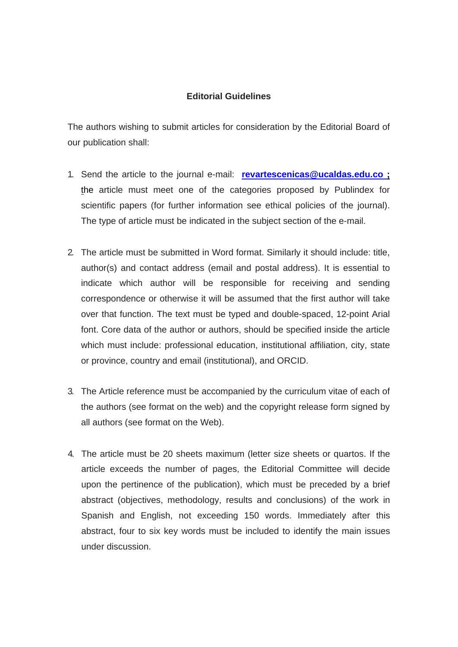# **Editorial Guidelines**

The authors wishing to submit articles for consideration by the Editorial Board of our publication shall:

- 1. Send the article to the journal e-mail: **revartescenicas@ucaldas.edu.co ;**  the article must meet one of the categories proposed by Publindex for scientific papers (for further information see ethical policies of the journal). The type of article must be indicated in the subject section of the e-mail.
- 2. The article must be submitted in Word format. Similarly it should include: title, author(s) and contact address (email and postal address). It is essential to indicate which author will be responsible for receiving and sending correspondence or otherwise it will be assumed that the first author will take over that function. The text must be typed and double-spaced, 12-point Arial font. Core data of the author or authors, should be specified inside the article which must include: professional education, institutional affiliation, city, state or province, country and email (institutional), and ORCID.
- 3. The Article reference must be accompanied by the curriculum vitae of each of the authors (see format on the web) and the copyright release form signed by all authors (see format on the Web).
- 4. The article must be 20 sheets maximum (letter size sheets or quartos. If the article exceeds the number of pages, the Editorial Committee will decide upon the pertinence of the publication), which must be preceded by a brief abstract (objectives, methodology, results and conclusions) of the work in Spanish and English, not exceeding 150 words. Immediately after this abstract, four to six key words must be included to identify the main issues under discussion.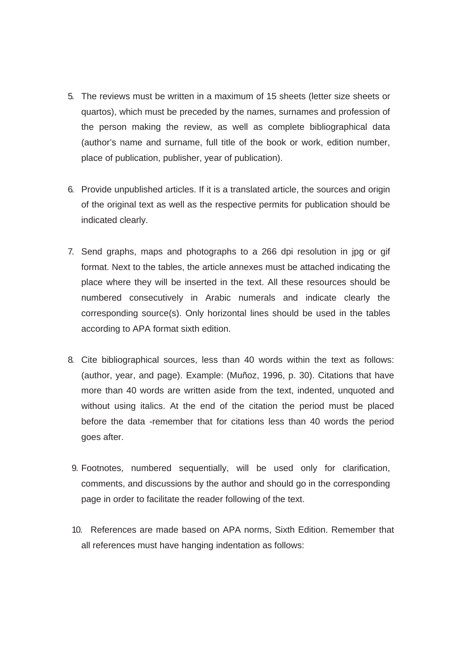- 5. The reviews must be written in a maximum of 15 sheets (letter size sheets or quartos), which must be preceded by the names, surnames and profession of the person making the review, as well as complete bibliographical data (author's name and surname, full title of the book or work, edition number, place of publication, publisher, year of publication).
- 6. Provide unpublished articles. If it is a translated article, the sources and origin of the original text as well as the respective permits for publication should be indicated clearly.
- 7. Send graphs, maps and photographs to a 266 dpi resolution in jpg or gif format. Next to the tables, the article annexes must be attached indicating the place where they will be inserted in the text. All these resources should be numbered consecutively in Arabic numerals and indicate clearly the corresponding source(s). Only horizontal lines should be used in the tables according to APA format sixth edition.
- 8. Cite bibliographical sources, less than 40 words within the text as follows: (author, year, and page). Example: (Muñoz, 1996, p. 30). Citations that have more than 40 words are written aside from the text, indented, unquoted and without using italics. At the end of the citation the period must be placed before the data -remember that for citations less than 40 words the period goes after.
	- 9. Footnotes, numbered sequentially, will be used only for clarification, comments, and discussions by the author and should go in the corresponding page in order to facilitate the reader following of the text.
	- 10. References are made based on APA norms, Sixth Edition. Remember that all references must have hanging indentation as follows: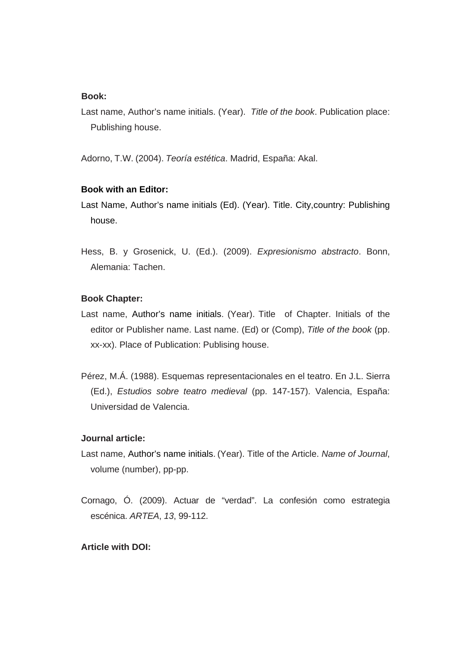#### **Book:**

Last name, Author's name initials. (Year). *Title of the book*. Publication place: Publishing house.

Adorno, T.W. (2004). *Teoría estética*. Madrid, España: Akal.

# **Book with an Editor:**

- Last Name, Author's name initials (Ed). (Year). Title. City,country: Publishing house.
- Hess, B. y Grosenick, U. (Ed.). (2009). *Expresionismo abstracto*. Bonn, Alemania: Tachen.

# **Book Chapter:**

- Last name, Author's name initials. (Year). Title of Chapter. Initials of the editor or Publisher name. Last name. (Ed) or (Comp), *Title of the book* (pp. xx-xx). Place of Publication: Publising house.
- Pérez, M.Á. (1988). Esquemas representacionales en el teatro. En J.L. Sierra (Ed.), *Estudios sobre teatro medieval* (pp. 147-157). Valencia, España: Universidad de Valencia.

#### **Journal article:**

- Last name, Author's name initials. (Year). Title of the Article. *Name of Journal*, volume (number), pp-pp.
- Cornago, Ó. (2009). Actuar de "verdad". La confesión como estrategia escénica. *ARTEA*, *13*, 99-112.

# **Article with DOI:**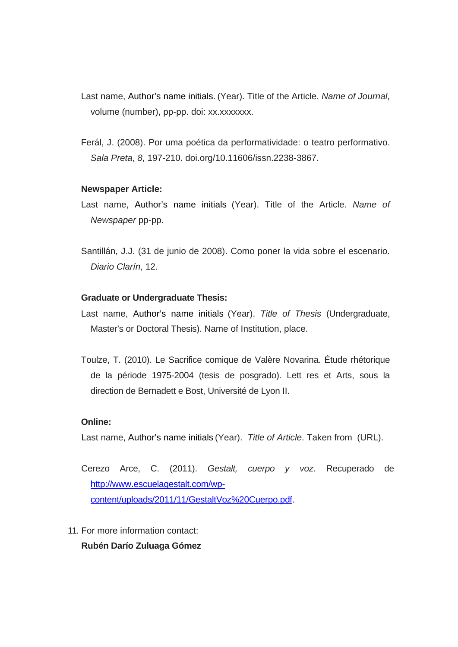- Last name, Author's name initials. (Year). Title of the Article. *Name of Journal*, volume (number), pp-pp. doi: xx.xxxxxxx.
- Ferál, J. (2008). Por uma poética da performatividade: o teatro performativo. *Sala Preta*, *8*, 197-210. doi.org/10.11606/issn.2238-3867.

# **Newspaper Article:**

- Last name, Author's name initials (Year). Title of the Article. *Name of Newspaper* pp-pp.
- Santillán, J.J. (31 de junio de 2008). Como poner la vida sobre el escenario. *Diario Clarín*, 12.

# **Graduate or Undergraduate Thesis:**

- Last name, Author's name initials (Year). *Title of Thesis* (Undergraduate, Master's or Doctoral Thesis). Name of Institution, place.
- Toulze, T. (2010). Le Sacrifice comique de Valère Novarina. Étude rhétorique de la période 1975-2004 (tesis de posgrado). Lett res et Arts, sous la direction de Bernadett e Bost, Université de Lyon II.

# **Online:**

Last name, Author's name initials (Year). *Title of Article*. Taken from (URL).

Cerezo Arce, C. (2011). *Gestalt, cuerpo y voz*. Recuperado de http://www.escuelagestalt.com/wpcontent/uploads/2011/11/GestaltVoz%20Cuerpo.pdf.

11. For more information contact:

**Rubén Darío Zuluaga Gómez**